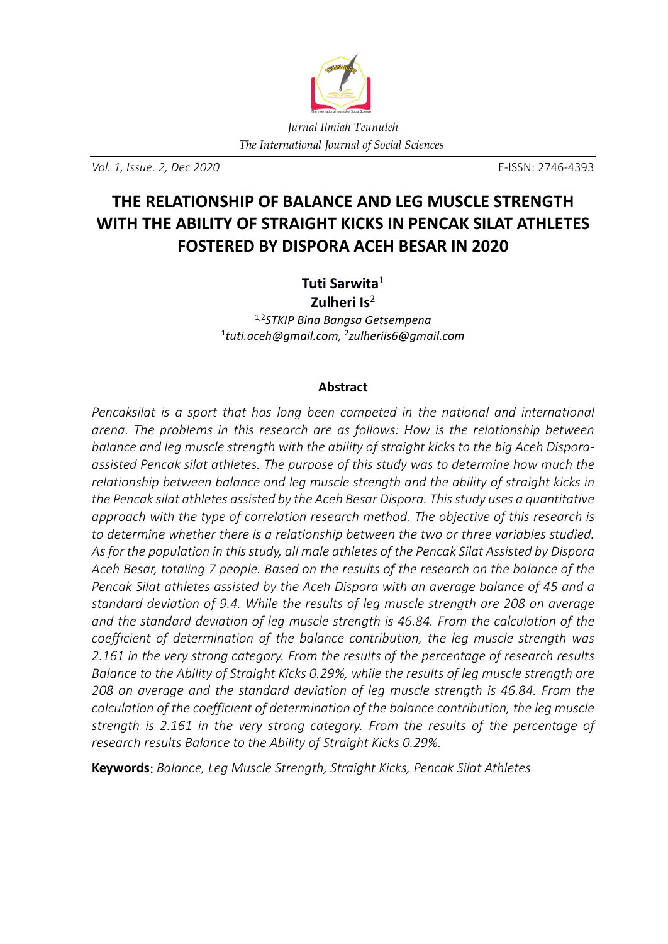

*Vol. 1, Issue. 2, Dec 2020* E-ISSN: 2746-4393

# **THE RELATIONSHIP OF BALANCE AND LEG MUSCLE STRENGTH WITH THE ABILITY OF STRAIGHT KICKS IN PENCAK SILAT ATHLETES FOSTERED BY DISPORA ACEH BESAR IN 2020**

## **Tuti Sarwita**<sup>1</sup> **Zulheri Is**<sup>2</sup>

1,2*STKIP Bina Bangsa Getsempena*  1 *tuti.aceh@gmail.com,* <sup>2</sup> *zulheriis6@gmail.com*

## **Abstract**

*Pencaksilat is a sport that has long been competed in the national and international arena. The problems in this research are as follows: How is the relationship between balance and leg muscle strength with the ability of straight kicks to the big Aceh Disporaassisted Pencak silat athletes. The purpose of this study was to determine how much the relationship between balance and leg muscle strength and the ability of straight kicks in the Pencak silat athletes assisted by the Aceh Besar Dispora. This study uses a quantitative approach with the type of correlation research method. The objective of this research is to determine whether there is a relationship between the two or three variables studied. As for the population in this study, all male athletes of the Pencak Silat Assisted by Dispora Aceh Besar, totaling 7 people. Based on the results of the research on the balance of the Pencak Silat athletes assisted by the Aceh Dispora with an average balance of 45 and a standard deviation of 9.4. While the results of leg muscle strength are 208 on average and the standard deviation of leg muscle strength is 46.84. From the calculation of the coefficient of determination of the balance contribution, the leg muscle strength was 2.161 in the very strong category. From the results of the percentage of research results Balance to the Ability of Straight Kicks 0.29%, while the results of leg muscle strength are 208 on average and the standard deviation of leg muscle strength is 46.84. From the calculation of the coefficient of determination of the balance contribution, the leg muscle strength is 2.161 in the very strong category. From the results of the percentage of research results Balance to the Ability of Straight Kicks 0.29%.* 

**Keywords**: *Balance, Leg Muscle Strength, Straight Kicks, Pencak Silat Athletes*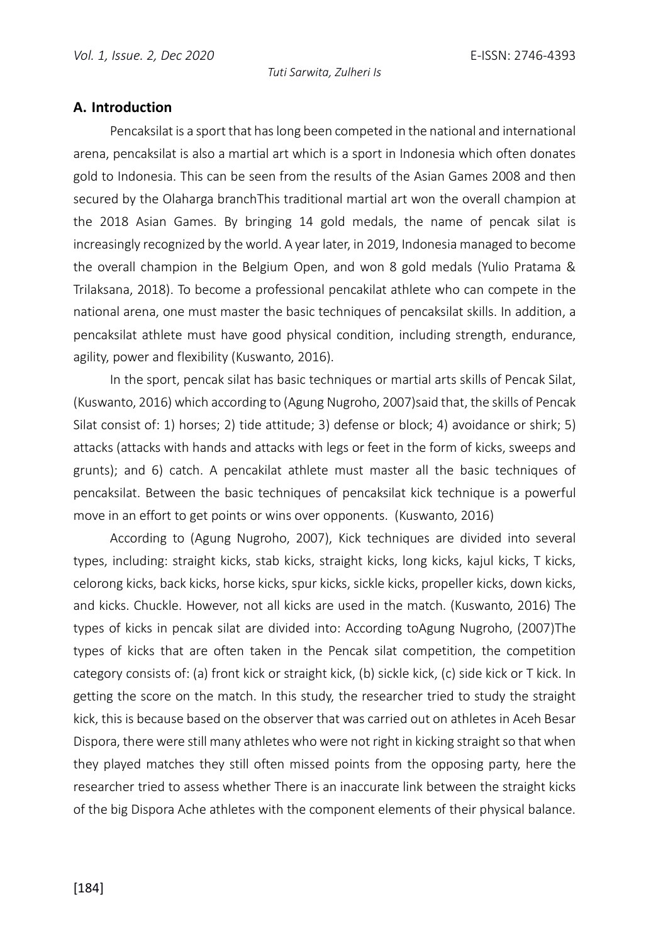#### **A. Introduction**

Pencaksilat is a sport that has long been competed in the national and international arena, pencaksilat is also a martial art which is a sport in Indonesia which often donates gold to Indonesia. This can be seen from the results of the Asian Games 2008 and then secured by the Olaharga branchThis traditional martial art won the overall champion at the 2018 Asian Games. By bringing 14 gold medals, the name of pencak silat is increasingly recognized by the world. A year later, in 2019, Indonesia managed to become the overall champion in the Belgium Open, and won 8 gold medals (Yulio Pratama & Trilaksana, 2018). To become a professional pencakilat athlete who can compete in the national arena, one must master the basic techniques of pencaksilat skills. In addition, a pencaksilat athlete must have good physical condition, including strength, endurance, agility, power and flexibility (Kuswanto, 2016).

In the sport, pencak silat has basic techniques or martial arts skills of Pencak Silat, (Kuswanto, 2016) which according to (Agung Nugroho, 2007)said that, the skills of Pencak Silat consist of: 1) horses; 2) tide attitude; 3) defense or block; 4) avoidance or shirk; 5) attacks (attacks with hands and attacks with legs or feet in the form of kicks, sweeps and grunts); and 6) catch. A pencakilat athlete must master all the basic techniques of pencaksilat. Between the basic techniques of pencaksilat kick technique is a powerful move in an effort to get points or wins over opponents. (Kuswanto, 2016)

According to (Agung Nugroho, 2007), Kick techniques are divided into several types, including: straight kicks, stab kicks, straight kicks, long kicks, kajul kicks, T kicks, celorong kicks, back kicks, horse kicks, spur kicks, sickle kicks, propeller kicks, down kicks, and kicks. Chuckle. However, not all kicks are used in the match. (Kuswanto, 2016) The types of kicks in pencak silat are divided into: According toAgung Nugroho, (2007)The types of kicks that are often taken in the Pencak silat competition, the competition category consists of: (a) front kick or straight kick, (b) sickle kick, (c) side kick or T kick. In getting the score on the match. In this study, the researcher tried to study the straight kick, this is because based on the observer that was carried out on athletes in Aceh Besar Dispora, there were still many athletes who were not right in kicking straight so that when they played matches they still often missed points from the opposing party, here the researcher tried to assess whether There is an inaccurate link between the straight kicks of the big Dispora Ache athletes with the component elements of their physical balance.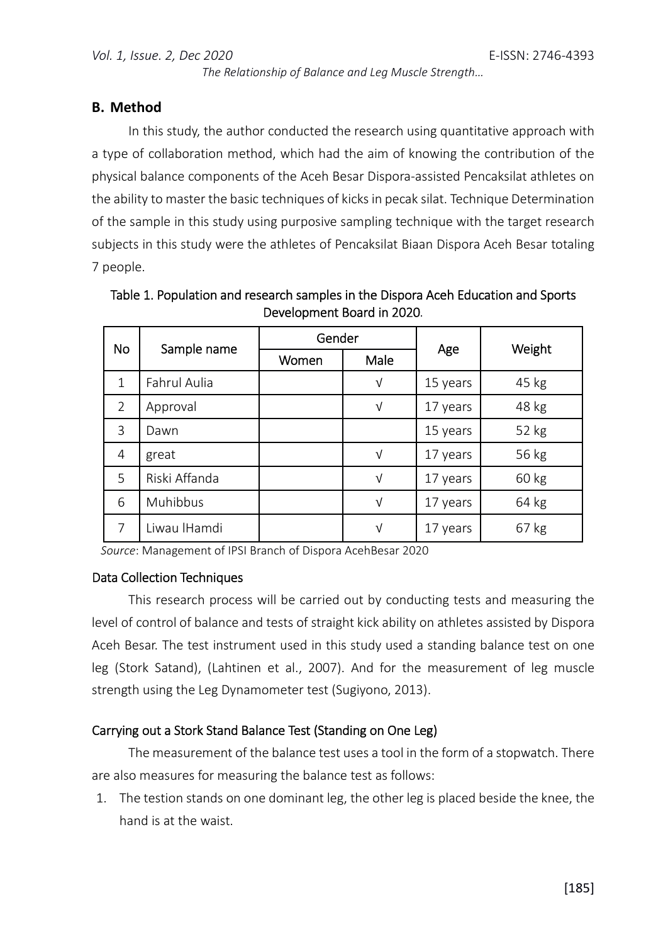*The Relationship of Balance and Leg Muscle Strength…* 

### **B. Method**

In this study, the author conducted the research using quantitative approach with a type of collaboration method, which had the aim of knowing the contribution of the physical balance components of the Aceh Besar Dispora-assisted Pencaksilat athletes on the ability to master the basic techniques of kicks in pecak silat. Technique Determination of the sample in this study using purposive sampling technique with the target research subjects in this study were the athletes of Pencaksilat Biaan Dispora Aceh Besar totaling 7 people.

| <b>No</b>      |               | Gender |            |          |        |
|----------------|---------------|--------|------------|----------|--------|
|                | Sample name   | Women  | Male       | Age      | Weight |
| $\mathbf{1}$   | Fahrul Aulia  |        | $\sqrt{}$  | 15 years | 45 kg  |
| $\overline{2}$ | Approval      |        | $\sqrt{}$  | 17 years | 48 kg  |
| $\mathcal{E}$  | Dawn          |        |            | 15 years | 52 kg  |
| 4              | great         |        | $\sqrt{ }$ | 17 years | 56 kg  |
| 5              | Riski Affanda |        | $\sqrt{}$  | 17 years | 60 kg  |
| 6              | Muhibbus      |        | $\sqrt{}$  | 17 years | 64 kg  |
| 7              | Liwau IHamdi  |        | $\sqrt{}$  | 17 years | 67 kg  |

Table 1. Population and research samples in the Dispora Aceh Education and Sports Development Board in 2020.

*Source*: Management of IPSI Branch of Dispora AcehBesar 2020

#### Data Collection Techniques

This research process will be carried out by conducting tests and measuring the level of control of balance and tests of straight kick ability on athletes assisted by Dispora Aceh Besar. The test instrument used in this study used a standing balance test on one leg (Stork Satand), (Lahtinen et al., 2007). And for the measurement of leg muscle strength using the Leg Dynamometer test (Sugiyono, 2013).

## Carrying out a Stork Stand Balance Test (Standing on One Leg)

The measurement of the balance test uses a tool in the form of a stopwatch. There are also measures for measuring the balance test as follows:

1. The testion stands on one dominant leg, the other leg is placed beside the knee, the hand is at the waist.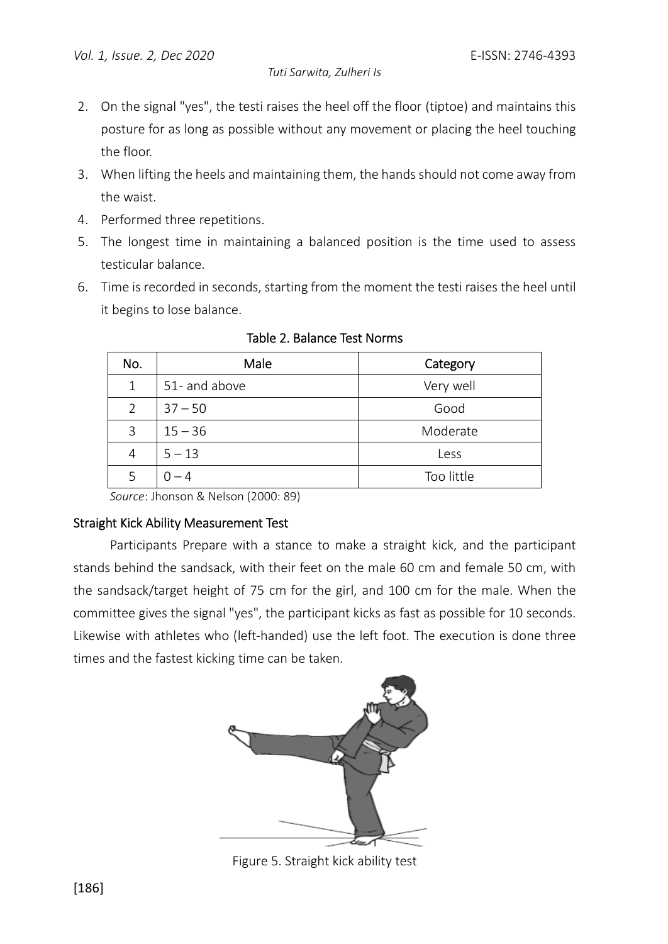- 2. On the signal "yes", the testi raises the heel off the floor (tiptoe) and maintains this posture for as long as possible without any movement or placing the heel touching the floor.
- 3. When lifting the heels and maintaining them, the hands should not come away from the waist.
- 4. Performed three repetitions.
- 5. The longest time in maintaining a balanced position is the time used to assess testicular balance.
- 6. Time is recorded in seconds, starting from the moment the testi raises the heel until it begins to lose balance.

| No. | Male          | Category   |
|-----|---------------|------------|
| 1   | 51- and above | Very well  |
| 2   | $37 - 50$     | Good       |
| 3   | $15 - 36$     | Moderate   |
| 4   | $5 - 13$      | Less       |
|     | $-4$          | Too little |

Table 2. Balance Test Norms

*Source*: Jhonson & Nelson (2000: 89)

#### Straight Kick Ability Measurement Test

 Participants Prepare with a stance to make a straight kick, and the participant stands behind the sandsack, with their feet on the male 60 cm and female 50 cm, with the sandsack/target height of 75 cm for the girl, and 100 cm for the male. When the committee gives the signal "yes", the participant kicks as fast as possible for 10 seconds. Likewise with athletes who (left-handed) use the left foot. The execution is done three times and the fastest kicking time can be taken.



Figure 5. Straight kick ability test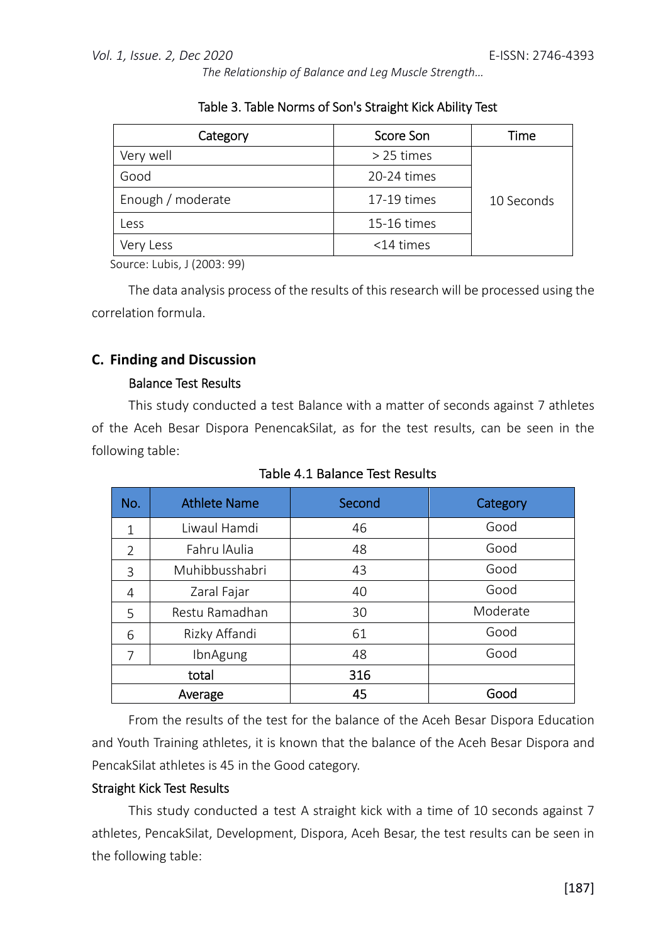*The Relationship of Balance and Leg Muscle Strength…* 

| Category          | Score Son    | Time       |
|-------------------|--------------|------------|
| Very well         | $>$ 25 times |            |
| Good              | 20-24 times  |            |
| Enough / moderate | 17-19 times  | 10 Seconds |
| Less              | 15-16 times  |            |
| Very Less         | $<$ 14 times |            |

|  | Table 3. Table Norms of Son's Straight Kick Ability Test |  |  |  |  |
|--|----------------------------------------------------------|--|--|--|--|
|--|----------------------------------------------------------|--|--|--|--|

Source: Lubis, J (2003: 99)

The data analysis process of the results of this research will be processed using the correlation formula.

## **C. Finding and Discussion**

#### Balance Test Results

This study conducted a test Balance with a matter of seconds against 7 athletes of the Aceh Besar Dispora PenencakSilat, as for the test results, can be seen in the following table:

| No.            | <b>Athlete Name</b> | Second | Category |
|----------------|---------------------|--------|----------|
| $\mathbf{1}$   | Liwaul Hamdi        | 46     | Good     |
| $\overline{2}$ | Fahru lAulia        | 48     | Good     |
| 3              | Muhibbusshabri      | 43     | Good     |
| 4              | Zaral Fajar         | 40     | Good     |
| 5              | Restu Ramadhan      | 30     | Moderate |
| 6              | Rizky Affandi       | 61     | Good     |
| 7              | IbnAgung            | 48     | Good     |
|                | total               | 316    |          |
|                | Average             | 45     | Good     |

Table 4.1 Balance Test Results

From the results of the test for the balance of the Aceh Besar Dispora Education and Youth Training athletes, it is known that the balance of the Aceh Besar Dispora and PencakSilat athletes is 45 in the Good category.

#### Straight Kick Test Results

This study conducted a test A straight kick with a time of 10 seconds against 7 athletes, PencakSilat, Development, Dispora, Aceh Besar, the test results can be seen in the following table: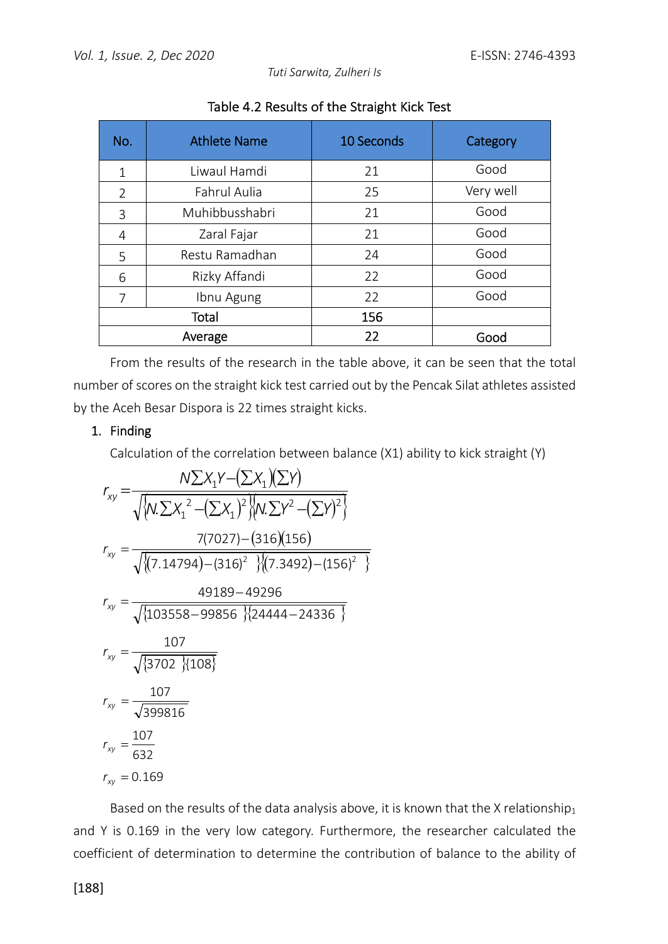*Tuti Sarwita, Zulheri Is* 

| No.            | <b>Athlete Name</b> | 10 Seconds | Category  |
|----------------|---------------------|------------|-----------|
| $\mathbf{1}$   | Liwaul Hamdi        | 21         | Good      |
| $\overline{2}$ | Fahrul Aulia        | 25         | Very well |
| 3              | Muhibbusshabri      | 21         | Good      |
| 4              | Zaral Fajar         | 21         | Good      |
| 5              | Restu Ramadhan      | 24         | Good      |
| 6              | Rizky Affandi       | 22         | Good      |
| 7              | Ibnu Agung          | 22         | Good      |
|                | Total               | 156        |           |
|                | Average             | 22         | Good      |

Table 4.2 Results of the Straight Kick Test

From the results of the research in the table above, it can be seen that the total number of scores on the straight kick test carried out by the Pencak Silat athletes assisted by the Aceh Besar Dispora is 22 times straight kicks.

## 1. Finding

Calculation of the correlation between balance (X1) ability to kick straight (Y)

$$
r_{xy} = \frac{N\Sigma X_1 Y - (\Sigma X_1)(\Sigma Y)}{\sqrt{\{N\Sigma X_1^2 - (\Sigma X_1)^2\}} \{N\Sigma Y^2 - (\Sigma Y)^2\}}
$$
  
\n
$$
r_{xy} = \frac{7(7027) - (316)(156)}{\sqrt{\{(7.14794) - (316)^2\}} \{(7.3492) - (156)^2\}}
$$
  
\n
$$
r_{xy} = \frac{49189 - 49296}{\sqrt{\{103558 - 99856\}} \{24444 - 24336\}}
$$
  
\n
$$
r_{xy} = \frac{107}{\sqrt{399816}}
$$
  
\n
$$
r_{xy} = \frac{107}{\sqrt{399816}}
$$
  
\n
$$
r_{xy} = \frac{107}{632}
$$
  
\n
$$
r_{xy} = 0.169
$$

Based on the results of the data analysis above, it is known that the X relationship<sub>1</sub> and Y is 0.169 in the very low category. Furthermore, the researcher calculated the coefficient of determination to determine the contribution of balance to the ability of

[188]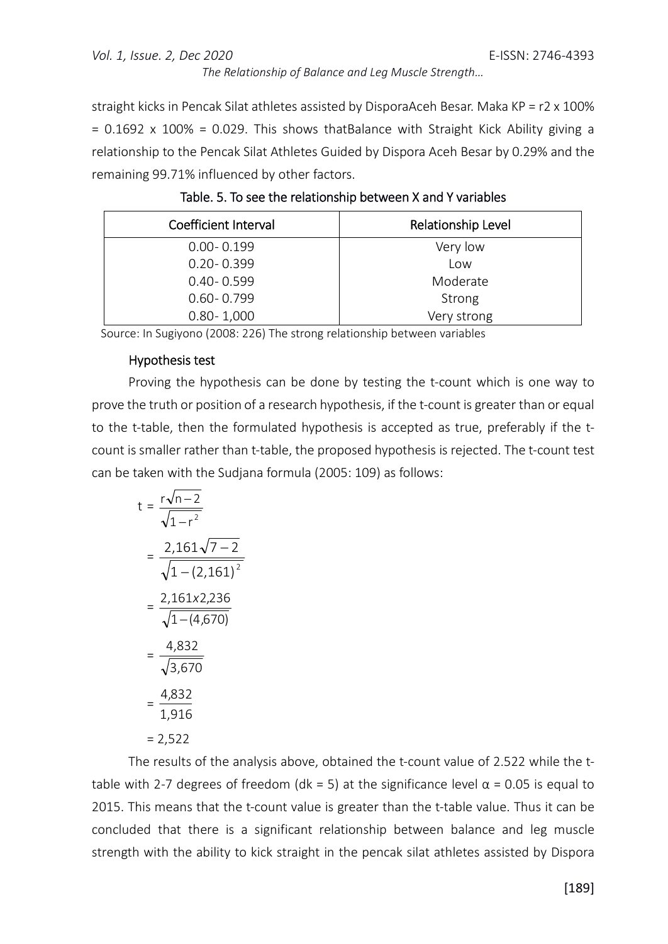#### *Vol. 1, Issue. 2, Dec 2020* E-ISSN: 2746-4393

*The Relationship of Balance and Leg Muscle Strength…* 

straight kicks in Pencak Silat athletes assisted by DisporaAceh Besar. Maka KP =  $r2 \times 100\%$  $= 0.1692 \times 100\% = 0.029$ . This shows thatBalance with Straight Kick Ability giving a relationship to the Pencak Silat Athletes Guided by Dispora Aceh Besar by 0.29% and the remaining 99.71% influenced by other factors.

| Coefficient Interval | Relationship Level |
|----------------------|--------------------|
| $0.00 - 0.199$       | Very low           |
| $0.20 - 0.399$       | Low                |
| $0.40 - 0.599$       | Moderate           |
| $0.60 - 0.799$       | Strong             |
| $0.80 - 1,000$       | Very strong        |

| Table. 5. To see the relationship between X and Y variables |
|-------------------------------------------------------------|
|-------------------------------------------------------------|

Source: In Sugiyono (2008: 226) The strong relationship between variables

#### Hypothesis test

Proving the hypothesis can be done by testing the t-count which is one way to prove the truth or position of a research hypothesis, if the t-count is greater than or equal to the t-table, then the formulated hypothesis is accepted as true, preferably if the tcount is smaller rather than t-table, the proposed hypothesis is rejected. The t-count test can be taken with the Sudjana formula (2005: 109) as follows:

$$
t = \frac{r\sqrt{n-2}}{\sqrt{1-r^2}}
$$
  
=  $\frac{2,161\sqrt{7-2}}{\sqrt{1-(2,161)^2}}$   
=  $\frac{2,161x2,236}{\sqrt{1-(4,670)}}$   
=  $\frac{4,832}{\sqrt{3,670}}$   
=  $\frac{4,832}{1,916}$   
= 2,522

The results of the analysis above, obtained the t-count value of 2.522 while the ttable with 2-7 degrees of freedom (dk = 5) at the significance level  $\alpha$  = 0.05 is equal to 2015. This means that the t-count value is greater than the t-table value. Thus it can be concluded that there is a significant relationship between balance and leg muscle strength with the ability to kick straight in the pencak silat athletes assisted by Dispora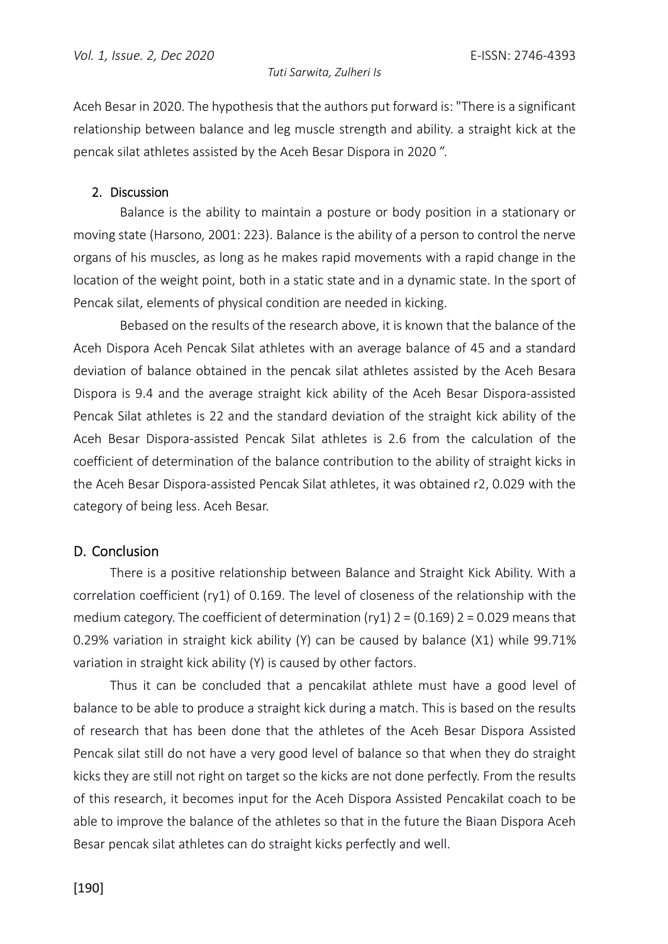Aceh Besar in 2020. The hypothesis that the authors put forward is: "There is a significant relationship between balance and leg muscle strength and ability. a straight kick at the pencak silat athletes assisted by the Aceh Besar Dispora in 2020 ".

#### 2. Discussion

 Balance is the ability to maintain a posture or body position in a stationary or moving state (Harsono, 2001: 223). Balance is the ability of a person to control the nerve organs of his muscles, as long as he makes rapid movements with a rapid change in the location of the weight point, both in a static state and in a dynamic state. In the sport of Pencak silat, elements of physical condition are needed in kicking.

 Bebased on the results of the research above, it is known that the balance of the Aceh Dispora Aceh Pencak Silat athletes with an average balance of 45 and a standard deviation of balance obtained in the pencak silat athletes assisted by the Aceh Besara Dispora is 9.4 and the average straight kick ability of the Aceh Besar Dispora-assisted Pencak Silat athletes is 22 and the standard deviation of the straight kick ability of the Aceh Besar Dispora-assisted Pencak Silat athletes is 2.6 from the calculation of the coefficient of determination of the balance contribution to the ability of straight kicks in the Aceh Besar Dispora-assisted Pencak Silat athletes, it was obtained r2, 0.029 with the category of being less. Aceh Besar.

## D. Conclusion

There is a positive relationship between Balance and Straight Kick Ability. With a correlation coefficient (ry1) of 0.169. The level of closeness of the relationship with the medium category. The coefficient of determination (ry1)  $2 = (0.169)$   $2 = 0.029$  means that 0.29% variation in straight kick ability (Y) can be caused by balance (X1) while 99.71% variation in straight kick ability (Y) is caused by other factors.

Thus it can be concluded that a pencakilat athlete must have a good level of balance to be able to produce a straight kick during a match. This is based on the results of research that has been done that the athletes of the Aceh Besar Dispora Assisted Pencak silat still do not have a very good level of balance so that when they do straight kicks they are still not right on target so the kicks are not done perfectly. From the results of this research, it becomes input for the Aceh Dispora Assisted Pencakilat coach to be able to improve the balance of the athletes so that in the future the Biaan Dispora Aceh Besar pencak silat athletes can do straight kicks perfectly and well.

[190]